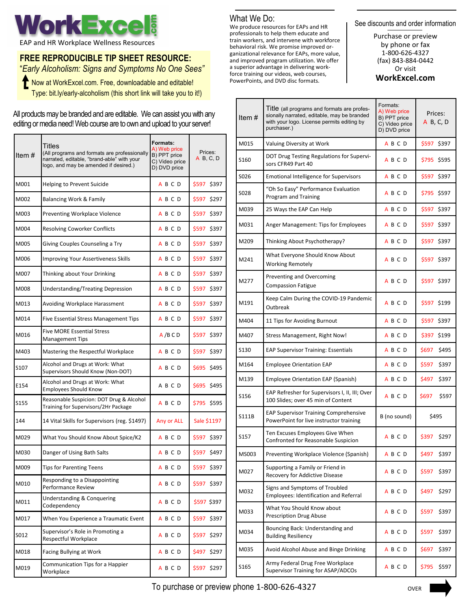

## **FREE REPRODUCIBLE TIP SHEET RESOURCE:**

"*Early Alcoholism: Signs and Symptoms No One Sees"* the Now at WorkExcel.com. Free, downloadable and editable! Type: bit.ly/early-alcoholism (this short link will take you to it!)

All products may be branded and are editable. We can assist you with any editing or media need! Web course are to own and upload to your server!

| Item $#$         | Titles<br>(All programs and formats are professionally<br>narrated, editable, "brand-able" with your<br>logo, and may be amended if desired.) | Formats:<br>A) Web price<br>B) PPT price<br>C) Video price<br>D) DVD price | Prices:<br>A B, C, D |  |  |  |  |  |
|------------------|-----------------------------------------------------------------------------------------------------------------------------------------------|----------------------------------------------------------------------------|----------------------|--|--|--|--|--|
| M001             | Helping to Prevent Suicide                                                                                                                    | A B C D                                                                    |                      |  |  |  |  |  |
| M002             | Balancing Work & Family                                                                                                                       | A B C D                                                                    | \$597 \$297          |  |  |  |  |  |
| M003             | Preventing Workplace Violence                                                                                                                 | A B C D                                                                    | \$597 \$397          |  |  |  |  |  |
| M004             | <b>Resolving Coworker Conflicts</b>                                                                                                           | A B C D                                                                    | \$597 \$397          |  |  |  |  |  |
| M005             | Giving Couples Counseling a Try                                                                                                               | <b>ABCD</b>                                                                | \$597 \$397          |  |  |  |  |  |
| M006             | Improving Your Assertiveness Skills                                                                                                           | A B C D                                                                    | \$597 \$397          |  |  |  |  |  |
| M007             | Thinking about Your Drinking                                                                                                                  | A B C D                                                                    | \$597 \$397          |  |  |  |  |  |
| M008             | Understanding/Treating Depression                                                                                                             | A B C D                                                                    | \$597 \$397          |  |  |  |  |  |
| M013             | Avoiding Workplace Harassment                                                                                                                 | <b>ABCD</b>                                                                | \$597 \$397          |  |  |  |  |  |
| M014             | <b>Five Essential Stress Management Tips</b>                                                                                                  | <b>ABCD</b>                                                                | \$597 \$397          |  |  |  |  |  |
| M016             | <b>Five MORE Essential Stress</b><br><b>Management Tips</b>                                                                                   | A/BCD                                                                      | \$597 \$397          |  |  |  |  |  |
| M403             | Mastering the Respectful Workplace                                                                                                            | A B C D                                                                    | \$597 \$397          |  |  |  |  |  |
| S <sub>107</sub> | Alcohol and Drugs at Work: What<br>Supervisors Should Know (Non-DOT)                                                                          | A B C D                                                                    | \$695 \$495          |  |  |  |  |  |
| E154             | Alcohol and Drugs at Work: What<br><b>Employees Should Know</b>                                                                               | A B C D                                                                    | \$695 \$495          |  |  |  |  |  |
| S155             | Reasonable Suspicion: DOT Drug & Alcohol<br>Training for Supervisors/2Hr Package                                                              | <b>ABCD</b>                                                                | \$795 \$595          |  |  |  |  |  |
| 144              | 14 Vital Skills for Supervisors (reg. \$1497)                                                                                                 | Any or ALL                                                                 | Sale \$1197          |  |  |  |  |  |
| M029             | What You Should Know About Spice/K2                                                                                                           | <b>ABCD</b>                                                                | \$597 \$397          |  |  |  |  |  |
| M030             | Danger of Using Bath Salts                                                                                                                    | A B C D                                                                    | \$597 \$497          |  |  |  |  |  |
| M009             | Tips for Parenting Teens                                                                                                                      | <b>ABCD</b>                                                                | \$597 \$397          |  |  |  |  |  |
| M010             | Responding to a Disappointing<br>Performance Review                                                                                           | ABCD                                                                       | \$597 \$397          |  |  |  |  |  |
| M011             | <b>Understanding &amp; Conquering</b><br>Codependency                                                                                         | A B C D                                                                    | \$597 \$397          |  |  |  |  |  |
| M017             | When You Experience a Traumatic Event                                                                                                         | <b>ABCD</b>                                                                | \$597 \$397          |  |  |  |  |  |
| S012             | Supervisor's Role in Promoting a<br>Respectful Workplace                                                                                      | A B C D                                                                    | \$597 \$297          |  |  |  |  |  |
| M018             | Facing Bullying at Work                                                                                                                       | <b>ABCD</b>                                                                | \$497 \$297          |  |  |  |  |  |
| M019             | Communication Tips for a Happier<br>Workplace                                                                                                 | A B C D                                                                    | \$597 \$297          |  |  |  |  |  |

### What We Do:

We produce resources for EAPs and HR professionals to help them educate and train workers, and intervene with workforce behavioral risk. We promise improved organizational relevance for EAPs, more value, and improved program utilization. We offer a superior advantage in delivering workforce training our videos, web courses, PowerPoints, and DVD disc formats.

See discounts and order information

Purchase or preview by phone or fax 1-800-626-4327 (fax) 843-884-0442 Or visit **WorkExcel.com**

| Item $#$         | <b>I</b> Itle (all programs and formats are profes-<br>sionally narrated, editable, may be branded<br>with your logo. License permits editing by<br>purchaser.) | Prices:<br>A B, C, D |                |  |  |
|------------------|-----------------------------------------------------------------------------------------------------------------------------------------------------------------|----------------------|----------------|--|--|
| M015             | Valuing Diversity at Work                                                                                                                                       | <b>ABCD</b>          | \$597 \$397    |  |  |
| S <sub>160</sub> | DOT Drug Testing Regulations for Supervi-<br>sors CFR49 Part 40                                                                                                 | A B C D              | \$795 \$595    |  |  |
| S026             | <b>Emotional Intelligence for Supervisors</b>                                                                                                                   | A B C D              | \$597 \$397    |  |  |
| S028             | "Oh So Easy" Performance Evaluation<br>Program and Training                                                                                                     | A B C D              | \$795 \$597    |  |  |
| M039             | 25 Ways the EAP Can Help                                                                                                                                        | <b>ABCD</b>          | \$597 \$397    |  |  |
| M031             | Anger Management: Tips for Employees                                                                                                                            | <b>ABCD</b>          | \$597 \$397    |  |  |
| M209             | Thinking About Psychotherapy?                                                                                                                                   | A B C D              | \$597 \$397    |  |  |
| M241             | What Everyone Should Know About<br><b>Working Remotely</b>                                                                                                      | <b>ABCD</b>          | \$597 \$397    |  |  |
| M277             | Preventing and Overcoming<br><b>Compassion Fatigue</b>                                                                                                          | A B C D              | \$597 \$397    |  |  |
| M191             | Keep Calm During the COVID-19 Pandemic<br>Outbreak                                                                                                              | <b>ABCD</b>          | \$597 \$199    |  |  |
| M404             | 11 Tips for Avoiding Burnout                                                                                                                                    | <b>ABCD</b>          | \$597 \$397    |  |  |
| M407             | Stress Management, Right Now!                                                                                                                                   | A B C D              | \$397 \$199    |  |  |
| S130             | <b>EAP Supervisor Training: Essentials</b>                                                                                                                      | A B C D              | \$697<br>\$495 |  |  |
| M164             | <b>Employee Orientation EAP</b>                                                                                                                                 | A B C D              | \$597<br>\$397 |  |  |
| M139             | Employee Orientation EAP (Spanish)                                                                                                                              | A B C D              | \$497<br>\$397 |  |  |
| S156             | EAP Refresher for Supervisors I, II, III; Over<br>100 Slides; over 45 min of Content                                                                            | A B C D              | \$597<br>\$697 |  |  |
| S111B            | <b>EAP Supervisor Training Comprehensive</b><br>PowerPoint for live instructor training                                                                         | B (no sound)         | \$495          |  |  |
| S157             | Ten Excuses Employees Give When<br>Confronted for Reasonable Suspicion                                                                                          | A B C D              | \$397<br>\$297 |  |  |
| MS003            | Preventing Workplace Violence (Spanish)                                                                                                                         | <b>ABCD</b>          | \$497<br>\$397 |  |  |
| M027             | Supporting a Family or Friend in<br>Recovery for Addictive Disease                                                                                              | <b>ABCD</b>          | \$597<br>\$397 |  |  |
| M032             | Signs and Symptoms of Troubled<br><b>Employees: Identification and Referral</b>                                                                                 | <b>ABCD</b>          | \$497<br>\$297 |  |  |
| M033             | What You Should Know about<br><b>Prescription Drug Abuse</b>                                                                                                    | A B C D              | \$597<br>\$397 |  |  |
| M034             | Bouncing Back: Understanding and<br><b>Building Resiliency</b>                                                                                                  | A B C D              | \$597<br>\$397 |  |  |
| M035             | Avoid Alcohol Abuse and Binge Drinking                                                                                                                          | A B C D              | \$697<br>\$397 |  |  |
| S165             | Army Federal Drug Free Workplace<br>Supervisor Training for ASAP/ADCOs                                                                                          | ABCD                 | \$597<br>\$795 |  |  |